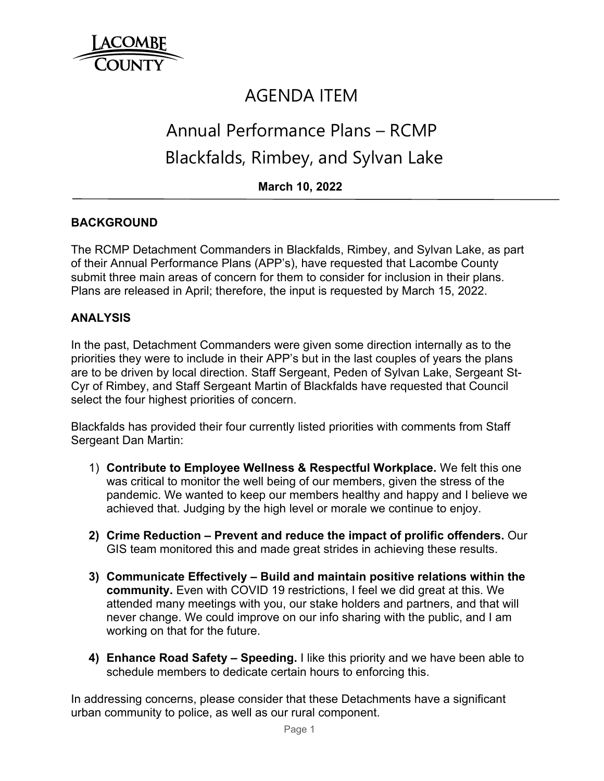

# AGENDA ITEM

# Annual Performance Plans – RCMP Blackfalds, Rimbey, and Sylvan Lake

**March 10, 2022**

# **BACKGROUND**

The RCMP Detachment Commanders in Blackfalds, Rimbey, and Sylvan Lake, as part of their Annual Performance Plans (APP's), have requested that Lacombe County submit three main areas of concern for them to consider for inclusion in their plans. Plans are released in April; therefore, the input is requested by March 15, 2022.

## **ANALYSIS**

In the past, Detachment Commanders were given some direction internally as to the priorities they were to include in their APP's but in the last couples of years the plans are to be driven by local direction. Staff Sergeant, Peden of Sylvan Lake, Sergeant St-Cyr of Rimbey, and Staff Sergeant Martin of Blackfalds have requested that Council select the four highest priorities of concern.

Blackfalds has provided their four currently listed priorities with comments from Staff Sergeant Dan Martin:

- 1) **Contribute to Employee Wellness & Respectful Workplace.** We felt this one was critical to monitor the well being of our members, given the stress of the pandemic. We wanted to keep our members healthy and happy and I believe we achieved that. Judging by the high level or morale we continue to enjoy.
- **2) Crime Reduction Prevent and reduce the impact of prolific offenders.** Our GIS team monitored this and made great strides in achieving these results.
- **3) Communicate Effectively Build and maintain positive relations within the community.** Even with COVID 19 restrictions, I feel we did great at this. We attended many meetings with you, our stake holders and partners, and that will never change. We could improve on our info sharing with the public, and I am working on that for the future.
- **4) Enhance Road Safety Speeding.** I like this priority and we have been able to schedule members to dedicate certain hours to enforcing this.

In addressing concerns, please consider that these Detachments have a significant urban community to police, as well as our rural component.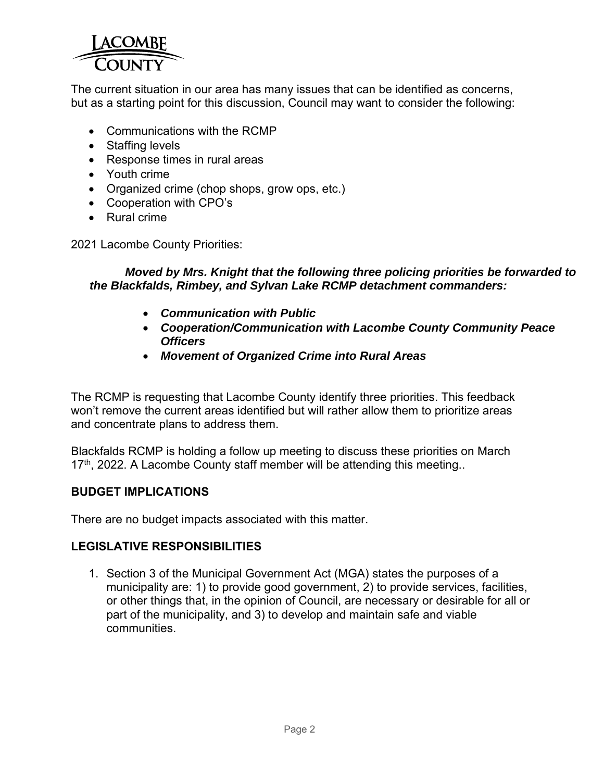

The current situation in our area has many issues that can be identified as concerns, but as a starting point for this discussion, Council may want to consider the following:

- Communications with the RCMP
- Staffing levels
- Response times in rural areas
- Youth crime
- Organized crime (chop shops, grow ops, etc.)
- Cooperation with CPO's
- Rural crime

2021 Lacombe County Priorities:

#### *Moved by Mrs. Knight that the following three policing priorities be forwarded to the Blackfalds, Rimbey, and Sylvan Lake RCMP detachment commanders:*

- *Communication with Public*
- *Cooperation/Communication with Lacombe County Community Peace Officers*
- *Movement of Organized Crime into Rural Areas*

The RCMP is requesting that Lacombe County identify three priorities. This feedback won't remove the current areas identified but will rather allow them to prioritize areas and concentrate plans to address them.

Blackfalds RCMP is holding a follow up meeting to discuss these priorities on March  $17<sup>th</sup>$ , 2022. A Lacombe County staff member will be attending this meeting..

#### **BUDGET IMPLICATIONS**

There are no budget impacts associated with this matter.

#### **LEGISLATIVE RESPONSIBILITIES**

1. Section 3 of the Municipal Government Act (MGA) states the purposes of a municipality are: 1) to provide good government, 2) to provide services, facilities, or other things that, in the opinion of Council, are necessary or desirable for all or part of the municipality, and 3) to develop and maintain safe and viable communities.